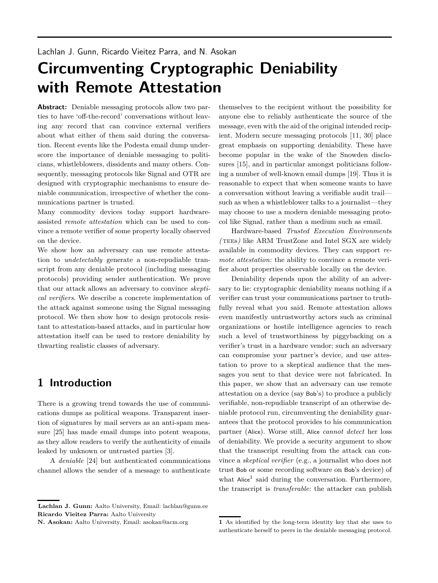# <span id="page-0-0"></span>**Circumventing Cryptographic Deniability with Remote Attestation**

**Abstract:** Deniable messaging protocols allow two parties to have 'off-the-record' conversations without leaving any record that can convince external verifiers about what either of them said during the conversation. Recent events like the Podesta email dump underscore the importance of deniable messaging to politicians, whistleblowers, dissidents and many others. Consequently, messaging protocols like Signal and OTR are designed with cryptographic mechanisms to ensure deniable communication, irrespective of whether the communications partner is trusted.

Many commodity devices today support hardwareassisted *remote attestation* which can be used to convince a remote verifier of some property locally observed on the device.

We show how an adversary can use remote attestation to *undetectably* generate a non-repudiable transcript from any deniable protocol (including messaging protocols) providing sender authentication. We prove that our attack allows an adversary to convince *skeptical verifiers*. We describe a concrete implementation of the attack against someone using the Signal messaging protocol. We then show how to design protocols resistant to attestation-based attacks, and in particular how attestation itself can be used to restore deniability by thwarting realistic classes of adversary.

# **1 Introduction**

There is a growing trend towards the use of communications dumps as political weapons. Transparent insertion of signatures by mail servers as an anti-spam measure [\[25\]](#page-13-0) has made email dumps into potent weapons, as they allow readers to verify the authenticity of emails leaked by unknown or untrusted parties [\[3\]](#page-13-1).

A *deniable* [\[24\]](#page-13-2) but authenticated communications channel allows the sender of a message to authenticate

**Lachlan J. Gunn:** Aalto University, Email: lachlan@gunn.ee **Ricardo Vieitez Parra:** Aalto University

**N. Asokan:** Aalto University, Email: asokan@acm.org

themselves to the recipient without the possibility for anyone else to reliably authenticate the source of the message, even with the aid of the original intended recipient. Modern secure messaging protocols [\[11,](#page-13-3) [30\]](#page-13-4) place great emphasis on supporting deniability. These have become popular in the wake of the Snowden disclosures [\[15\]](#page-13-5), and in particular amongst politicians following a number of well-known email dumps [\[19\]](#page-13-6). Thus it is reasonable to expect that when someone wants to have a conversation without leaving a verifiable audit trail such as when a whistleblower talks to a journalist—they may choose to use a modern deniable messaging protocol like Signal, rather than a medium such as email.

Hardware-based *Trusted Execution Environment*s *(*tees*)* like ARM TrustZone and Intel SGX are widely available in commodity devices. They can support *remote attestation*: the ability to convince a remote verifier about properties observable locally on the device.

Deniability depends upon the ability of an adversary to lie: cryptographic deniability means nothing if a verifier can trust your communications partner to truthfully reveal what you said. Remote attestation allows even manifestly untrustworthy actors such as criminal organizations or hostile intelligence agencies to reach such a level of trustworthiness by piggybacking on a verifier's trust in a hardware vendor; such an adversary can compromise your partner's device, and use attestation to prove to a skeptical audience that the messages you sent to that device were not fabricated. In this paper, we show that an adversary can use remote attestation on a device (say Bob's) to produce a publicly verifiable, non-repudiable transcript of an otherwise deniable protocol run, circumventing the deniability guarantees that the protocol provides to his communication partner (Alice). Worse still, Alice *cannot detect* her loss of deniability. We provide a security argument to show that the transcript resulting from the attack can convince a *skeptical verifier* (e.g., a journalist who does not trust Bob or some recording software on Bob's device) of what Alice<sup>1</sup> said during the conversation. Furthermore, the transcript is *transferable*: the attacker can publish

**<sup>1</sup>** As identified by the long-term identity key that she uses to authenticate herself to peers in the deniable messaging protocol.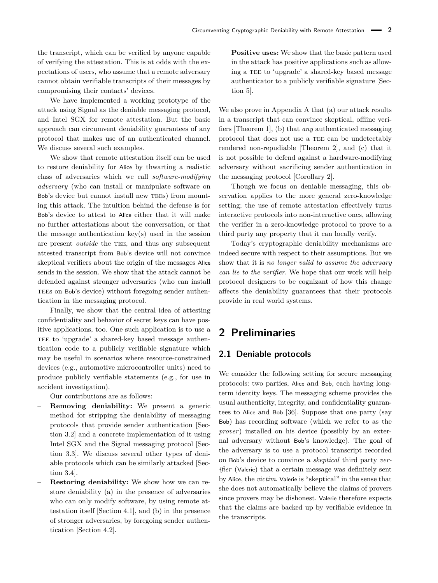the transcript, which can be verified by anyone capable of verifying the attestation. This is at odds with the expectations of users, who assume that a remote adversary cannot obtain verifiable transcripts of their messages by compromising their contacts' devices.

We have implemented a working prototype of the attack using Signal as the deniable messaging protocol, and Intel SGX for remote attestation. But the basic approach can circumvent deniability guarantees of any protocol that makes use of an authenticated channel. We discuss several such examples.

We show that remote attestation itself can be used to restore deniability for Alice by thwarting a realistic class of adversaries which we call *software-modifying adversary* (who can install or manipulate software on Bob's device but cannot install new TEEs) from mounting this attack. The intuition behind the defense is for Bob's device to attest to Alice either that it will make no further attestations about the conversation, or that the message authentication key(s) used in the session are present *outside* the TEE, and thus any subsequent attested transcript from Bob's device will not convince skeptical verifiers about the origin of the messages Alice sends in the session. We show that the attack cannot be defended against stronger adversaries (who can install TEES on Bob's device) without foregoing sender authentication in the messaging protocol.

Finally, we show that the central idea of attesting confidentiality and behavior of secret keys can have positive applications, too. One such application is to use a TEE to 'upgrade' a shared-key based message authentication code to a publicly verifiable signature which may be useful in scenarios where resource-constrained devices (e.g., automotive microcontroller units) need to produce publicly verifiable statements (e.g., for use in accident investigation).

Our contributions are as follows:

- **Removing deniability:** We present a generic method for stripping the deniability of messaging protocols that provide sender authentication [Section [3.2\]](#page-3-0) and a concrete implementation of it using Intel SGX and the Signal messaging protocol [Section [3.3\]](#page-5-0). We discuss several other types of deniable protocols which can be similarly attacked [Section [3.4\]](#page-5-1).
- **Restoring deniability:** We show how we can restore deniability (a) in the presence of adversaries who can only modify software, by using remote attestation itself [Section [4.1\]](#page-6-0), and (b) in the presence of stronger adversaries, by foregoing sender authentication [Section [4.2\]](#page-8-0).

– **Positive uses:** We show that the basic pattern used in the attack has positive applications such as allowing a TEE to 'upgrade' a shared-key based message authenticator to a publicly verifiable signature [Section [5\]](#page-9-0).

We also prove in Appendix [A](#page-14-0) that (a) our attack results in a transcript that can convince skeptical, offline verifiers [Theorem [1\]](#page-16-0), (b) that *any* authenticated messaging protocol that does not use a TEE can be undetectably rendered non-repudiable [Theorem [2\]](#page-18-0), and (c) that it is not possible to defend against a hardware-modifying adversary without sacrificing sender authentication in the messaging protocol [Corollary [2\]](#page-18-1).

Though we focus on deniable messaging, this observation applies to the more general zero-knowledge setting; the use of remote attestation effectively turns interactive protocols into non-interactive ones, allowing the verifier in a zero-knowledge protocol to prove to a third party any property that it can locally verify.

Today's cryptographic deniability mechanisms are indeed secure with respect to their assumptions. But we show that it is *no longer valid to assume the adversary can lie to the verifier*. We hope that our work will help protocol designers to be cognizant of how this change affects the deniability guarantees that their protocols provide in real world systems.

# **2 Preliminaries**

### **2.1 Deniable protocols**

We consider the following setting for secure messaging protocols: two parties, Alice and Bob, each having longterm identity keys. The messaging scheme provides the usual authenticity, integrity, and confidentiality guarantees to Alice and Bob [\[36\]](#page-14-1). Suppose that one party (say Bob) has recording software (which we refer to as the *prover*) installed on his device (possibly by an external adversary without Bob's knowledge). The goal of the adversary is to use a protocol transcript recorded on Bob's device to convince a *skeptical* third party *verifier* (Valerie) that a certain message was definitely sent by Alice, the *victim*. Valerie is "skeptical" in the sense that she does not automatically believe the claims of provers since provers may be dishonest. Valerie therefore expects that the claims are backed up by verifiable evidence in the transcripts.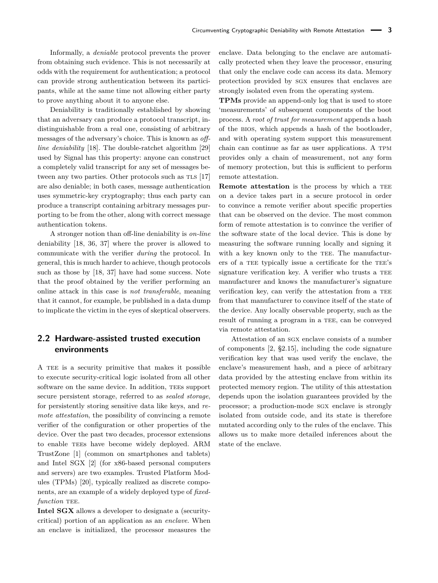Informally, a *deniable* protocol prevents the prover from obtaining such evidence. This is not necessarily at odds with the requirement for authentication; a protocol can provide strong authentication between its participants, while at the same time not allowing either party to prove anything about it to anyone else.

Deniability is traditionally established by showing that an adversary can produce a protocol transcript, indistinguishable from a real one, consisting of arbitrary messages of the adversary's choice. This is known as *offline deniability* [\[18\]](#page-13-7). The double-ratchet algorithm [\[29\]](#page-13-8) used by Signal has this property: anyone can construct a completely valid transcript for any set of messages be-tween any two parties. Other protocols such as TLS [\[17\]](#page-13-9) are also deniable; in both cases, message authentication uses symmetric-key cryptography; thus each party can produce a transcript containing arbitrary messages purporting to be from the other, along with correct message authentication tokens.

A stronger notion than off-line deniability is *on-line* deniability [\[18,](#page-13-7) [36,](#page-14-1) [37\]](#page-14-2) where the prover is allowed to communicate with the verifier *during* the protocol. In general, this is much harder to achieve, though protocols such as those by [\[18,](#page-13-7) [37\]](#page-14-2) have had some success. Note that the proof obtained by the verifier performing an online attack in this case is *not transferable*, meaning that it cannot, for example, be published in a data dump to implicate the victim in the eyes of skeptical observers.

## **2.2 Hardware-assisted trusted execution environments**

A TEE is a security primitive that makes it possible to execute security-critical logic isolated from all other software on the same device. In addition, TEES support secure persistent storage, referred to as *sealed storage*, for persistently storing sensitive data like keys, and *remote attestation*, the possibility of convincing a remote verifier of the configuration or other properties of the device. Over the past two decades, processor extensions to enable TEEs have become widely deployed. ARM TrustZone [\[1\]](#page-13-10) (common on smartphones and tablets) and Intel SGX [\[2\]](#page-13-11) (for x86-based personal computers and servers) are two examples. Trusted Platform Modules (TPMs) [\[20\]](#page-13-12), typically realized as discrete components, are an example of a widely deployed type of *fixedfunction* TEE.

**Intel SGX** allows a developer to designate a (securitycritical) portion of an application as an *enclave*. When an enclave is initialized, the processor measures the enclave. Data belonging to the enclave are automatically protected when they leave the processor, ensuring that only the enclave code can access its data. Memory protection provided by sgx ensures that enclaves are strongly isolated even from the operating system.

**TPMs** provide an append-only log that is used to store 'measurements' of subsequent components of the boot process. A *root of trust for measurement* appends a hash of the bios, which appends a hash of the bootloader, and with operating system support this measurement chain can continue as far as user applications. A tpm provides only a chain of measurement, not any form of memory protection, but this is sufficient to perform remote attestation.

**Remote attestation** is the process by which a TEE on a device takes part in a secure protocol in order to convince a remote verifier about specific properties that can be observed on the device. The most common form of remote attestation is to convince the verifier of the software state of the local device. This is done by measuring the software running locally and signing it with a key known only to the TEE. The manufacturers of a TEE typically issue a certificate for the TEE's signature verification key. A verifier who trusts a TEE manufacturer and knows the manufacturer's signature verification key, can verify the attestation from a TEE from that manufacturer to convince itself of the state of the device. Any locally observable property, such as the result of running a program in a TEE, can be conveyed via remote attestation.

Attestation of an sgx enclave consists of a number of components [\[2,](#page-13-11) §2.15], including the code signature verification key that was used verify the enclave, the enclave's measurement hash, and a piece of arbitrary data provided by the attesting enclave from within its protected memory region. The utility of this attestation depends upon the isolation guarantees provided by the processor; a production-mode sgx enclave is strongly isolated from outside code, and its state is therefore mutated according only to the rules of the enclave. This allows us to make more detailed inferences about the state of the enclave.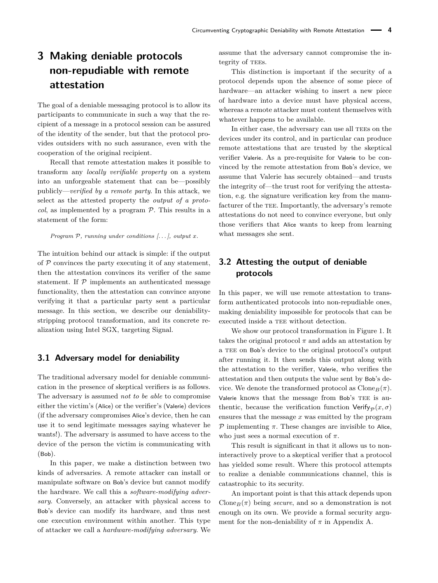# <span id="page-3-1"></span>**3 Making deniable protocols non-repudiable with remote attestation**

The goal of a deniable messaging protocol is to allow its participants to communicate in such a way that the recipient of a message in a protocol session can be assured of the identity of the sender, but that the protocol provides outsiders with no such assurance, even with the cooperation of the original recipient.

Recall that remote attestation makes it possible to transform any *locally verifiable property* on a system into an unforgeable statement that can be—possibly publicly—*verified by a remote party*. In this attack, we select as the attested property the *output of a protocol*, as implemented by a program  $P$ . This results in a statement of the form:

*Program* P*, running under conditions [. . . ], output x.*

The intuition behind our attack is simple: if the output of  $P$  convinces the party executing it of any statement, then the attestation convinces its verifier of the same statement. If  $P$  implements an authenticated message functionality, then the attestation can convince anyone verifying it that a particular party sent a particular message. In this section, we describe our deniabilitystripping protocol transformation, and its concrete realization using Intel SGX, targeting Signal.

### **3.1 Adversary model for deniability**

The traditional adversary model for deniable communication in the presence of skeptical verifiers is as follows. The adversary is assumed *not to be able* to compromise either the victim's (Alice) or the verifier's (Valerie) devices (if the adversary compromises Alice's device, then he can use it to send legitimate messages saying whatever he wants!). The adversary is assumed to have access to the device of the person the victim is communicating with (Bob).

In this paper, we make a distinction between two kinds of adversaries. A remote attacker can install or manipulate software on Bob's device but cannot modify the hardware. We call this a *software-modifying adversary*. Conversely, an attacker with physical access to Bob's device can modify its hardware, and thus nest one execution environment within another. This type of attacker we call a *hardware-modifying adversary*. We assume that the adversary cannot compromise the integrity of TEEs.

This distinction is important if the security of a protocol depends upon the absence of some piece of hardware—an attacker wishing to insert a new piece of hardware into a device must have physical access, whereas a remote attacker must content themselves with whatever happens to be available.

In either case, the adversary can use all TEEs on the devices under its control, and in particular can produce remote attestations that are trusted by the skeptical verifier Valerie. As a pre-requisite for Valerie to be convinced by the remote attestation from Bob's device, we assume that Valerie has securely obtained—and trusts the integrity of—the trust root for verifying the attestation, e.g. the signature verification key from the manufacturer of the TEE. Importantly, the adversary's remote attestations do not need to convince everyone, but only those verifiers that Alice wants to keep from learning what messages she sent.

### <span id="page-3-0"></span>**3.2 Attesting the output of deniable protocols**

In this paper, we will use remote attestation to transform authenticated protocols into non-repudiable ones, making deniability impossible for protocols that can be executed inside a TEE without detection.

We show our protocol transformation in Figure [1.](#page-4-0) It takes the original protocol  $\pi$  and adds an attestation by a TEE on Bob's device to the original protocol's output after running it. It then sends this output along with the attestation to the verifier, Valerie, who verifies the attestation and then outputs the value sent by Bob's device. We denote the transformed protocol as  $\text{Clone}_B(\pi)$ . Valerie knows that the message from Bob's TEE is authentic, because the verification function  $Verify_{\mathcal{D}}(x, \sigma)$ ensures that the message *x* was emitted by the program  $P$  implementing  $π$ . These changes are invisible to Alice, who just sees a normal execution of *π*.

This result is significant in that it allows us to noninteractively prove to a skeptical verifier that a protocol has yielded some result. Where this protocol attempts to realize a deniable communications channel, this is catastrophic to its security.

An important point is that this attack depends upon Clone<sub>B</sub>( $\pi$ ) being *secure*, and so a demonstration is not enough on its own. We provide a formal security argument for the non-deniability of  $\pi$  in Appendix [A.](#page-14-0)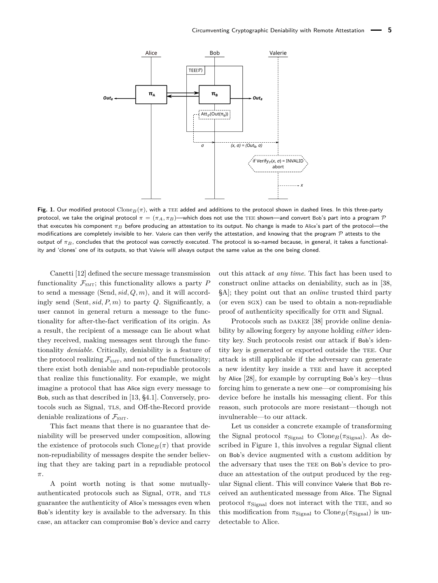<span id="page-4-0"></span>

**Fig. 1.** Our modified protocol Clone $B(\pi)$ , with a TEE added and additions to the protocol shown in dashed lines. In this three-party protocol, we take the original protocol  $\pi = (\pi_A, \pi_B)$ —which does not use the TEE shown—and convert Bob's part into a program P that executes his component *π<sup>B</sup>* before producing an attestation to its output. No change is made to Alice's part of the protocol—the modifications are completely invisible to her. Valerie can then verify the attestation, and knowing that the program  $P$  attests to the output of *πB*, concludes that the protocol was correctly executed. The protocol is so-named because, in general, it takes a functionality and 'clones' one of its outputs, so that Valerie will always output the same value as the one being cloned.

Canetti [\[12\]](#page-13-13) defined the secure message transmission functionality  $\mathcal{F}_{SMT}$ ; this functionality allows a party *P* to send a message (Send*, sid, Q, m*), and it will accordingly send (Sent*, sid, P, m*) to party *Q*. Significantly, a user cannot in general return a message to the functionality for after-the-fact verification of its origin. As a result, the recipient of a message can lie about what they received, making messages sent through the functionality *deniable*. Critically, deniability is a feature of the protocol realizing  $\mathcal{F}_{SMT}$ , and not of the functionality; there exist both deniable and non-repudiable protocols that realize this functionality. For example, we might imagine a protocol that has Alice sign every message to Bob, such as that described in [\[13,](#page-13-14) §4.1]. Conversely, protocols such as Signal, TLS, and Off-the-Record provide deniable realizations of  $\mathcal{F}_{SMT}$ .

This fact means that there is no guarantee that deniability will be preserved under composition, allowing the existence of protocols such Clone<sub>*B*</sub>( $\pi$ ) that provide non-repudiability of messages despite the sender believing that they are taking part in a repudiable protocol *π*.

A point worth noting is that some mutuallyauthenticated protocols such as Signal, OTR, and TLS guarantee the authenticity of Alice's messages even when Bob's identity key is available to the adversary. In this case, an attacker can compromise Bob's device and carry out this attack *at any time*. This fact has been used to construct online attacks on deniability, such as in [\[38,](#page-14-3) §A]; they point out that an *online* trusted third party (or even sgx) can be used to obtain a non-repudiable proof of authenticity specifically for OTR and Signal.

Protocols such as DAKEZ [\[38\]](#page-14-3) provide online deniability by allowing forgery by anyone holding *either* identity key. Such protocols resist our attack if Bob's identity key is generated or exported outside the TEE. Our attack is still applicable if the adversary can generate a new identity key inside a TEE and have it accepted by Alice [\[28\]](#page-13-15), for example by corrupting Bob's key—thus forcing him to generate a new one—or compromising his device before he installs his messaging client. For this reason, such protocols are more resistant—though not invulnerable—to our attack.

Let us consider a concrete example of transforming the Signal protocol  $\pi_{\text{Signal}}$  to Clone<sub>*B*</sub>( $\pi_{\text{Signal}}$ ). As described in Figure [1,](#page-4-0) this involves a regular Signal client on Bob's device augmented with a custom addition by the adversary that uses the TEE on Bob's device to produce an attestation of the output produced by the regular Signal client. This will convince Valerie that Bob received an authenticated message from Alice. The Signal protocol  $\pi_{\text{Signal}}$  does not interact with the TEE, and so this modification from  $\pi_{\text{Signal}}$  to Clone<sub>*B*</sub>( $\pi_{\text{Signal}}$ ) is undetectable to Alice.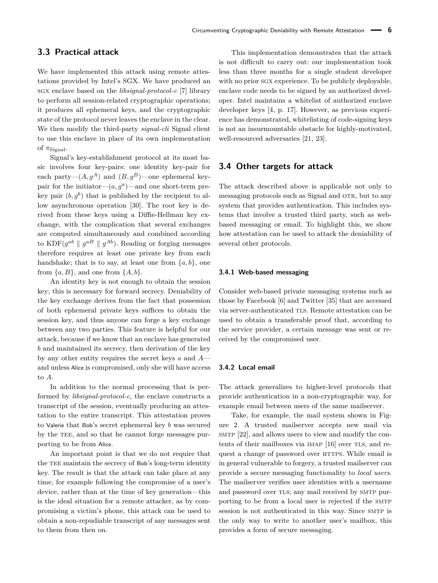### <span id="page-5-0"></span>**3.3 Practical attack**

We have implemented this attack using remote attestations provided by Intel's SGX. We have produced an sgx enclave based on the *libsignal-protocol-c* [\[7\]](#page-13-16) library to perform all session-related cryptographic operations; it produces all ephemeral keys, and the cryptographic state of the protocol never leaves the enclave in the clear. We then modify the third-party *signal-cli* Signal client to use this enclave in place of its own implementation of  $\pi$ <sub>Signal</sub>.

Signal's key-establishment protocol at its most basic involves four key-pairs: one identity key-pair for each party— $(A, q^A)$  and  $(B, q^B)$ —one ephemeral keypair for the initiator— $(a, g^a)$ —and one short-term prekey pair  $(b, g^b)$  that is published by the recipient to allow asynchronous operation [\[30\]](#page-13-4). The root key is derived from these keys using a Diffie-Hellman key exchange, with the complication that several exchanges are computed simultaneously and combined according to  $KDF(g^{ab} \parallel g^{AB} \parallel g^{Ab})$ . Reading or forging messages therefore requires at least one private key from each handshake; that is to say, at least one from  $\{a, b\}$ , one from  $\{a, B\}$ , and one from  $\{A, b\}$ .

An identity key is not enough to obtain the session key; this is necessary for forward secrecy. Deniability of the key exchange derives from the fact that possession of both ephemeral private keys suffices to obtain the session key, and thus anyone can forge a key exchange between any two parties. This feature is helpful for our attack, because if we know that an enclave has generated *b* and maintained its secrecy, then derivation of the key by any other entity requires the secret keys *a* and *A* and unless Alice is compromised, only she will have access to *A*.

In addition to the normal processing that is performed by *libsignal-protocol-c*, the enclave constructs a transcript of the session, eventually producing an attestation to the entire transcript. This attestation proves to Valerie that Bob's secret ephemeral key *b* was secured by the TEE, and so that he cannot forge messages purporting to be from Alice.

An important point is that we do not require that the TEE maintain the secrecy of Bob's long-term identity key. The result is that the attack can take place at any time, for example following the compromise of a user's device, rather than at the time of key generation—this is the ideal situation for a remote attacker, as by compromising a victim's phone, this attack can be used to obtain a non-repudiable transcript of any messages sent to them from then on.

This implementation demonstrates that the attack is not difficult to carry out: our implementation took less than three months for a single student developer with no prior sgx experience. To be publicly deployable, enclave code needs to be signed by an authorized developer. Intel maintains a whitelist of authorized enclave developer keys [\[4,](#page-13-17) p. 17]. However, as previous experience has demonstrated, whitelisting of code-signing keys is not an insurmountable obstacle for highly-motivated, well-resourced adversaries [\[21,](#page-13-18) [23\]](#page-13-19).

### <span id="page-5-1"></span>**3.4 Other targets for attack**

The attack described above is applicable not only to messaging protocols such as Signal and OTR, but to any system that provides authentication. This includes systems that involve a trusted third party, such as webbased messaging or email. To highlight this, we show how attestation can be used to attack the deniability of several other protocols.

### **3.4.1 Web-based messaging**

Consider web-based private messaging systems such as those by Facebook [\[6\]](#page-13-20) and Twitter [\[35\]](#page-13-21) that are accessed via server-authenticated TLS. Remote attestation can be used to obtain a transferable proof that, according to the service provider, a certain message was sent or received by the compromised user.

#### **3.4.2 Local email**

The attack generalizes to higher-level protocols that provide authentication in a non-cryptographic way, for example email between users of the same mailserver.

Take, for example, the mail system shown in Figure [2.](#page-6-1) A trusted mailserver accepts new mail via smtp [\[22\]](#page-13-22), and allows users to view and modify the con-tents of their mailboxes via IMAP [\[16\]](#page-13-23) over TLS, and request a change of password over HTTPS. While email is in general vulnerable to forgery, a trusted mailserver can provide a secure messaging functionality to *local users*. The mailserver verifies user identities with a username and password over TLS; any mail received by SMTP purporting to be from a local user is rejected if the SMTP session is not authenticated in this way. Since SMTP is the only way to write to another user's mailbox, this provides a form of secure messaging.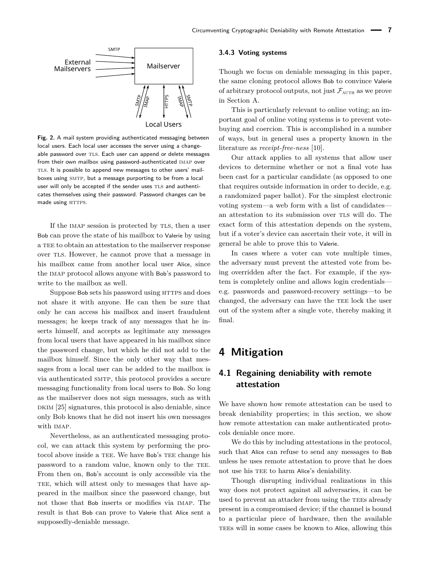<span id="page-6-1"></span>

**Fig. 2.** A mail system providing authenticated messaging between local users. Each local user accesses the server using a changeable password over TLS. Each user can append or delete messages from their own mailbox using password-authenticated imap over TLS. It is possible to append new messages to other users' mailboxes using SMTP, but a message purporting to be from a local user will only be accepted if the sender uses TLS and authenticates themselves using their password. Password changes can be made using HTTPS.

If the IMAP session is protected by TLS, then a user Bob can prove the state of his mailbox to Valerie by using a TEE to obtain an attestation to the mailserver response over tls. However, he cannot prove that a message in his mailbox came from another local user Alice, since the imap protocol allows anyone with Bob's password to write to the mailbox as well.

Suppose Bob sets his password using HTTPS and does not share it with anyone. He can then be sure that only he can access his mailbox and insert fraudulent messages; he keeps track of any messages that he inserts himself, and accepts as legitimate any messages from local users that have appeared in his mailbox since the password change, but which he did not add to the mailbox himself. Since the only other way that messages from a local user can be added to the mailbox is via authenticated SMTP, this protocol provides a secure messaging functionality from local users to Bob. So long as the mailserver does not sign messages, such as with  $DKIM$  [\[25\]](#page-13-0) signatures, this protocol is also deniable, since only Bob knows that he did not insert his own messages with imap.

Nevertheless, as an authenticated messaging protocol, we can attack this system by performing the protocol above inside a TEE. We have Bob's TEE change his password to a random value, known only to the TEE. From then on, Bob's account is only accessible via the TEE, which will attest only to messages that have appeared in the mailbox since the password change, but not those that Bob inserts or modifies via imap. The result is that Bob can prove to Valerie that Alice sent a supposedly-deniable message.

### **3.4.3 Voting systems**

Though we focus on deniable messaging in this paper, the same cloning protocol allows Bob to convince Valerie of arbitrary protocol outputs, not just  $\mathcal{F}_{\text{AUTH}}$  as we prove in Section [A.](#page-14-0)

This is particularly relevant to online voting; an important goal of online voting systems is to prevent votebuying and coercion. This is accomplished in a number of ways, but in general uses a property known in the literature as *receipt-free-ness* [\[10\]](#page-13-24).

Our attack applies to all systems that allow user devices to determine whether or not a final vote has been cast for a particular candidate (as opposed to one that requires outside information in order to decide, e.g. a randomized paper ballot). For the simplest electronic voting system—a web form with a list of candidates an attestation to its submission over TLS will do. The exact form of this attestation depends on the system, but if a voter's device can ascertain their vote, it will in general be able to prove this to Valerie.

In cases where a voter can vote multiple times, the adversary must prevent the attested vote from being overridden after the fact. For example, if the system is completely online and allows login credentials e.g. passwords and password-recovery settings—to be changed, the adversary can have the TEE lock the user out of the system after a single vote, thereby making it final.

# <span id="page-6-2"></span>**4 Mitigation**

## <span id="page-6-0"></span>**4.1 Regaining deniability with remote attestation**

We have shown how remote attestation can be used to break deniability properties; in this section, we show how remote attestation can make authenticated protocols deniable once more.

We do this by including attestations in the protocol, such that Alice can refuse to send any messages to Bob unless he uses remote attestation to prove that he does not use his TEE to harm Alice's deniability.

Though disrupting individual realizations in this way does not protect against all adversaries, it can be used to prevent an attacker from using the TEEs already present in a compromised device; if the channel is bound to a particular piece of hardware, then the available TEES will in some cases be known to Alice, allowing this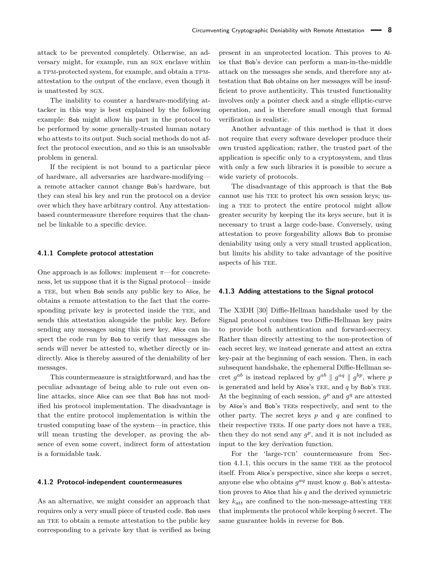attack to be prevented completely. Otherwise, an adversary might, for example, run an sgx enclave within a tpm-protected system, for example, and obtain a tpmattestation to the output of the enclave, even though it is unattested by sgx.

The inability to counter a hardware-modifying attacker in this way is best explained by the following example: Bob might allow his part in the protocol to be performed by some generally-trusted human notary who attests to its output. Such social methods do not affect the protocol execution, and so this is an unsolvable problem in general.

If the recipient is not bound to a particular piece of hardware, all adversaries are hardware-modifying a remote attacker cannot change Bob's hardware, but they can steal his key and run the protocol on a device over which they have arbitrary control. Any attestationbased countermeasure therefore requires that the channel be linkable to a specific device.

#### <span id="page-7-0"></span>**4.1.1 Complete protocol attestation**

One approach is as follows: implement *π*—for concreteness, let us suppose that it is the Signal protocol—inside a TEE, but when Bob sends any public key to Alice, he obtains a remote attestation to the fact that the corresponding private key is protected inside the TEE, and sends this attestation alongside the public key. Before sending any messages using this new key, Alice can inspect the code run by Bob to verify that messages she sends will never be attested to, whether directly or indirectly. Alice is thereby assured of the deniability of her messages.

This countermeasure is straightforward, and has the peculiar advantage of being able to rule out even online attacks, since Alice can see that Bob has not modified his protocol implementation. The disadvantage is that the entire protocol implementation is within the trusted computing base of the system—in practice, this will mean trusting the developer, as proving the absence of even some covert, indirect form of attestation is a formidable task.

#### <span id="page-7-1"></span>**4.1.2 Protocol-independent countermeasures**

As an alternative, we might consider an approach that requires only a very small piece of trusted code. Bob uses an TEE to obtain a remote attestation to the public key corresponding to a private key that is verified as being present in an unprotected location. This proves to Alice that Bob's device can perform a man-in-the-middle attack on the messages she sends, and therefore any attestation that Bob obtains on her messages will be insufficient to prove authenticity. This trusted functionality involves only a pointer check and a single elliptic-curve operation, and is therefore small enough that formal verification is realistic.

Another advantage of this method is that it does not require that every software developer produce their own trusted application; rather, the trusted part of the application is specific only to a cryptosystem, and thus with only a few such libraries it is possible to secure a wide variety of protocols.

The disadvantage of this approach is that the Bob cannot use his TEE to protect his own session keys; using a TEE to protect the entire protocol might allow greater security by keeping the its keys secure, but it is necessary to trust a large code-base. Conversely, using attestation to prove forgeability allows Bob to promise deniability using only a very small trusted application, but limits his ability to take advantage of the positive aspects of his TEE.

#### **4.1.3 Adding attestations to the Signal protocol**

The X3DH [\[30\]](#page-13-4) Diffie-Hellman handshake used by the Signal protocol combines two Diffie-Hellman key pairs to provide both authentication and forward-secrecy. Rather than directly attesting to the non-protection of each secret key, we instead generate and attest an extra key-pair at the beginning of each session. Then, in each subsequent handshake, the ephemeral Diffie-Hellman secret  $g^{ab}$  is instead replaced by  $g^{ab} \parallel g^{aq} \parallel g^{bp}$ , where *p* is generated and held by Alice's TEE, and  $q$  by Bob's TEE. At the beginning of each session,  $g^p$  and  $g^q$  are attested by Alice's and Bob's TEEs respectively, and sent to the other party. The secret keys *p* and *q* are confined to their respective TEEs. If one party does not have a TEE, then they do not send any  $g^p$ , and it is not included as input to the key derivation function.

For the 'large-TCB' countermeasure from Sec-tion [4.1.1,](#page-7-0) this occurs in the same TEE as the protocol itself. From Alice's perspective, since she keeps *a* secret, anyone else who obtains  $g^{aq}$  must know  $q$ . Bob's attestation proves to Alice that his *q* and the derived symmetric key  $k_{\text{att}}$  are confined to the non-message-attesting TEE that implements the protocol while keeping *b* secret. The same guarantee holds in reverse for Bob.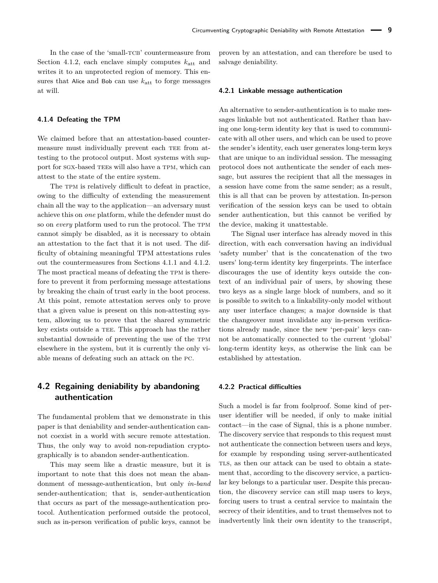In the case of the 'small-TCB' countermeasure from Section [4.1.2,](#page-7-1) each enclave simply computes  $k_{\text{att}}$  and writes it to an unprotected region of memory. This ensures that Alice and Bob can use  $k_{\text{att}}$  to forge messages at will.

#### **4.1.4 Defeating the TPM**

We claimed before that an attestation-based countermeasure must individually prevent each TEE from attesting to the protocol output. Most systems with support for sgx-based [tee](#page-0-0)s will also have a tpm, which can attest to the state of the entire system.

The TPM is relatively difficult to defeat in practice, owing to the difficulty of extending the measurement chain all the way to the application—an adversary must achieve this on *one* platform, while the defender must do so on *every* platform used to run the protocol. The TPM cannot simply be disabled, as it is necessary to obtain an attestation to the fact that it is not used. The difficulty of obtaining meaningful TPM attestations rules out the countermeasures from Sections [4.1.1](#page-7-0) and [4.1.2.](#page-7-1) The most practical means of defeating the TPM is therefore to prevent it from performing message attestations by breaking the chain of trust early in the boot process. At this point, remote attestation serves only to prove that a given value is present on this non-attesting system, allowing us to prove that the shared symmetric key exists outside a TEE. This approach has the rather substantial downside of preventing the use of the TPM elsewhere in the system, but it is currently the only viable means of defeating such an attack on the pc.

## <span id="page-8-0"></span>**4.2 Regaining deniability by abandoning authentication**

The fundamental problem that we demonstrate in this paper is that deniability and sender-authentication cannot coexist in a world with secure remote attestation. Thus, the only way to avoid non-repudiation cryptographically is to abandon sender-authentication.

This may seem like a drastic measure, but it is important to note that this does not mean the abandonment of message-authentication, but only *in-band* sender-authentication; that is, sender-authentication that occurs as part of the message-authentication protocol. Authentication performed outside the protocol, such as in-person verification of public keys, cannot be

proven by an attestation, and can therefore be used to salvage deniability.

#### **4.2.1 Linkable message authentication**

An alternative to sender-authentication is to make messages linkable but not authenticated. Rather than having one long-term identity key that is used to communicate with all other users, and which can be used to prove the sender's identity, each user generates long-term keys that are unique to an individual session. The messaging protocol does not authenticate the sender of each message, but assures the recipient that all the messages in a session have come from the same sender; as a result, this is all that can be proven by attestation. In-person verification of the session keys can be used to obtain sender authentication, but this cannot be verified by the device, making it unattestable.

The Signal user interface has already moved in this direction, with each conversation having an individual 'safety number' that is the concatenation of the two users' long-term identity key fingerprints. The interface discourages the use of identity keys outside the context of an individual pair of users, by showing these two keys as a single large block of numbers, and so it is possible to switch to a linkability-only model without any user interface changes; a major downside is that the changeover must invalidate any in-person verifications already made, since the new 'per-pair' keys cannot be automatically connected to the current 'global' long-term identity keys, as otherwise the link can be established by attestation.

#### **4.2.2 Practical difficulties**

Such a model is far from foolproof. Some kind of peruser identifier will be needed, if only to make initial contact—in the case of Signal, this is a phone number. The discovery service that responds to this request must not authenticate the connection between users and keys, for example by responding using server-authenticated TLS, as then our attack can be used to obtain a statement that, according to the discovery service, a particular key belongs to a particular user. Despite this precaution, the discovery service can still map users to keys, forcing users to trust a central service to maintain the secrecy of their identities, and to trust themselves not to inadvertently link their own identity to the transcript,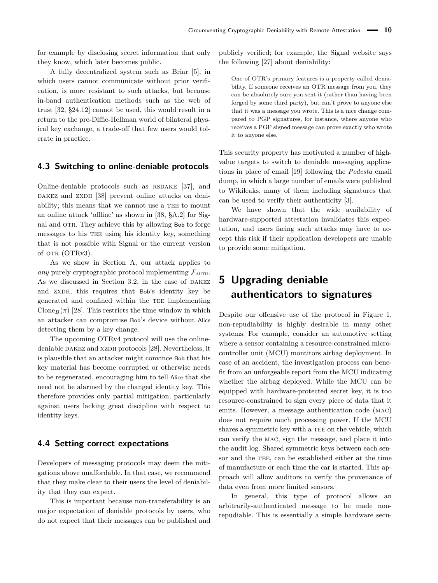for example by disclosing secret information that only they know, which later becomes public.

A fully decentralized system such as Briar [\[5\]](#page-13-25), in which users cannot communicate without prior verification, is more resistant to such attacks, but because in-band authentication methods such as the web of trust [\[32,](#page-13-26) §24.12] cannot be used, this would result in a return to the pre-Diffie-Hellman world of bilateral physical key exchange, a trade-off that few users would tolerate in practice.

### **4.3 Switching to online-deniable protocols**

Online-deniable protocols such as  $RSDAKE$  [\[37\]](#page-14-2), and DAKEZ and ZXDH [\[38\]](#page-14-3) prevent online attacks on deniability; this means that we cannot use a TEE to mount an online attack 'offline' as shown in [\[38,](#page-14-3) §A.2] for Signal and OTR. They achieve this by allowing Bob to forge messages to his TEE using his identity key, something that is not possible with Signal or the current version of OTR (OTRv3).

As we show in Section [A,](#page-14-0) our attack applies to *any* purely cryptographic protocol implementing  $\mathcal{F}_{\text{AUTH}}$ . As we discussed in Section [3.2,](#page-3-0) in the case of DAKEZ and ZXDH, this requires that Bob's identity key be generated and confined within the TEE implementing Clone<sub>B</sub> $(\pi)$  [\[28\]](#page-13-15). This restricts the time window in which an attacker can compromise Bob's device without Alice detecting them by a key change.

The upcoming OTRv4 protocol will use the online-deniable DAKEZ and XZDH protocols [\[28\]](#page-13-15). Nevertheless, it is plausible that an attacker might convince Bob that his key material has become corrupted or otherwise needs to be regenerated, encouraging him to tell Alice that she need not be alarmed by the changed identity key. This therefore provides only partial mitigation, particularly against users lacking great discipline with respect to identity keys.

### **4.4 Setting correct expectations**

Developers of messaging protocols may deem the mitigations above unaffordable. In that case, we recommend that they make clear to their users the level of deniability that they can expect.

This is important because non-transferability is an major expectation of deniable protocols by users, who do not expect that their messages can be published and publicly verified; for example, the Signal website says the following [\[27\]](#page-13-27) about deniability:

One of OTR's primary features is a property called deniability. If someone receives an OTR message from you, they can be absolutely sure you sent it (rather than having been forged by some third party), but can't prove to anyone else that it was a message you wrote. This is a nice change compared to PGP signatures, for instance, where anyone who receives a PGP signed message can prove exactly who wrote it to anyone else.

This security property has motivated a number of highvalue targets to switch to deniable messaging applications in place of email [\[19\]](#page-13-6) following the *Podesta* email dump, in which a large number of emails were published to Wikileaks, many of them including signatures that can be used to verify their authenticity [\[3\]](#page-13-1).

We have shown that the wide availability of hardware-supported attestation invalidates this expectation, and users facing such attacks may have to accept this risk if their application developers are unable to provide some mitigation.

# <span id="page-9-0"></span>**5 Upgrading deniable authenticators to signatures**

Despite our offensive use of the protocol in Figure [1,](#page-4-0) non-repudiability is highly desirable in many other systems. For example, consider an automotive setting where a sensor containing a resource-constrained microcontroller unit (MCU) montitors airbag deployment. In case of an accident, the investigation process can benefit from an unforgeable report from the MCU indicating whether the airbag deployed. While the MCU can be equipped with hardware-protected secret key, it is too resource-constrained to sign every piece of data that it emits. However, a message authentication code (mac) does not require much processing power. If the MCU shares a symmetric key with a TEE on the vehicle, which can verify the mac, sign the message, and place it into the audit log. Shared symmetric keys between each sensor and the TEE, can be established either at the time of manufacture or each time the car is started. This approach will allow auditors to verify the provenance of data even from more limited sensors.

In general, this type of protocol allows an arbitrarily-authenticated message to be made nonrepudiable. This is essentially a simple hardware secu-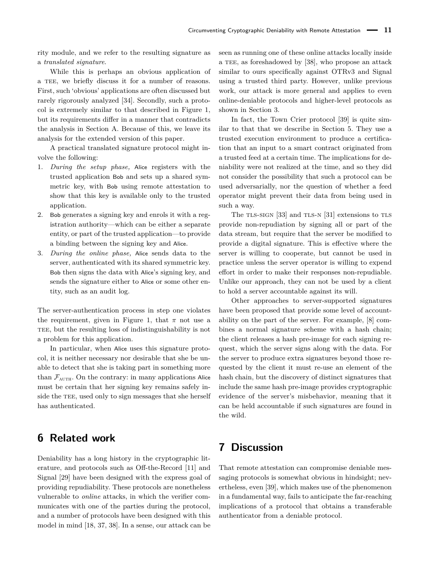rity module, and we refer to the resulting signature as a *translated signature*.

While this is perhaps an obvious application of a TEE, we briefly discuss it for a number of reasons. First, such 'obvious' applications are often discussed but rarely rigorously analyzed [\[34\]](#page-13-28). Secondly, such a protocol is extremely similar to that described in Figure [1,](#page-4-0) but its requirements differ in a manner that contradicts the analysis in Section [A.](#page-14-0) Because of this, we leave its analysis for the extended version of this paper.

A practical translated signature protocol might involve the following:

- 1. *During the setup phase,* Alice registers with the trusted application Bob and sets up a shared symmetric key, with Bob using remote attestation to show that this key is available only to the trusted application.
- 2. Bob generates a signing key and enrols it with a registration authority—which can be either a separate entity, or part of the trusted application—to provide a binding between the signing key and Alice.
- 3. *During the online phase,* Alice sends data to the server, authenticated with its shared symmetric key. Bob then signs the data with Alice's signing key, and sends the signature either to Alice or some other entity, such as an audit log.

The server-authentication process in step one violates the requirement, given in Figure [1,](#page-4-0) that  $\pi$  not use a TEE, but the resulting loss of indistinguishability is not a problem for this application.

In particular, when Alice uses this signature protocol, it is neither necessary nor desirable that she be unable to detect that she is taking part in something more than  $\mathcal{F}_{\text{AUTH}}$ . On the contrary: in many applications Alice must be certain that her signing key remains safely inside the TEE, used only to sign messages that she herself has authenticated.

# **6 Related work**

Deniability has a long history in the cryptographic literature, and protocols such as Off-the-Record [\[11\]](#page-13-3) and Signal [\[29\]](#page-13-8) have been designed with the express goal of providing repudiability. These protocols are nonetheless vulnerable to *online* attacks, in which the verifier communicates with one of the parties during the protocol, and a number of protocols have been designed with this model in mind [\[18,](#page-13-7) [37,](#page-14-2) [38\]](#page-14-3). In a sense, our attack can be

seen as running one of these online attacks locally inside a TEE, as foreshadowed by [\[38\]](#page-14-3), who propose an attack similar to ours specifically against OTRv3 and Signal using a trusted third party. However, unlike previous work, our attack is more general and applies to even online-deniable protocols and higher-level protocols as shown in Section [3.](#page-3-1)

In fact, the Town Crier protocol [\[39\]](#page-14-4) is quite similar to that that we describe in Section [5.](#page-9-0) They use a trusted execution environment to produce a certification that an input to a smart contract originated from a trusted feed at a certain time. The implications for deniability were not realized at the time, and so they did not consider the possibility that such a protocol can be used adversarially, nor the question of whether a feed operator might prevent their data from being used in such a way.

The TLS-SIGN  $[33]$  and TLS-N  $[31]$  extensions to TLS provide non-repudiation by signing all or part of the data stream, but require that the server be modified to provide a digital signature. This is effective where the server is willing to cooperate, but cannot be used in practice unless the server operator is willing to expend effort in order to make their responses non-repudiable. Unlike our approach, they can not be used by a client to hold a server accountable against its will.

Other approaches to server-supported signatures have been proposed that provide some level of accountability on the part of the server. For example, [\[8\]](#page-13-31) combines a normal signature scheme with a hash chain; the client releases a hash pre-image for each signing request, which the server signs along with the data. For the server to produce extra signatures beyond those requested by the client it must re-use an element of the hash chain, but the discovery of distinct signatures that include the same hash pre-image provides cryptographic evidence of the server's misbehavior, meaning that it can be held accountable if such signatures are found in the wild.

# **7 Discussion**

That remote attestation can compromise deniable messaging protocols is somewhat obvious in hindsight; nevertheless, even [\[39\]](#page-14-4), which makes use of the phenomenon in a fundamental way, fails to anticipate the far-reaching implications of a protocol that obtains a transferable authenticator from a deniable protocol.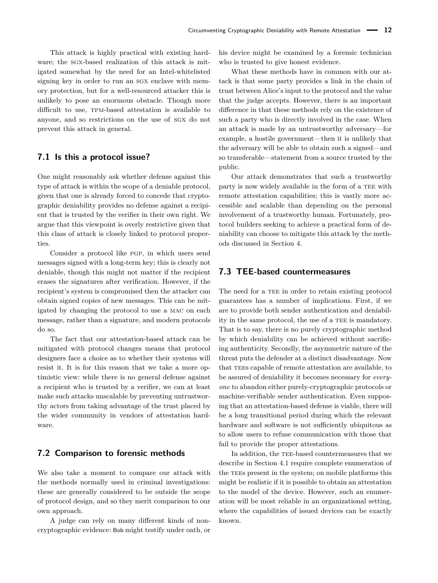This attack is highly practical with existing hardware; the sgx-based realization of this attack is mitigated somewhat by the need for an Intel-whitelisted signing key in order to run an sgx enclave with memory protection, but for a well-resourced attacker this is unlikely to pose an enormous obstacle. Though more difficult to use, tpm-based attestation is available to anyone, and so restrictions on the use of sgx do not prevent this attack in general.

### **7.1 Is this a protocol issue?**

One might reasonably ask whether defense against this type of attack is within the scope of a deniable protocol, given that one is already forced to concede that cryptographic deniability provides no defense against a recipient that is trusted by the verifier in their own right. We argue that this viewpoint is overly restrictive given that this class of attack is closely linked to protocol properties

Consider a protocol like pgp, in which users send messages signed with a long-term key; this is clearly not deniable, though this might not matter if the recipient erases the signatures after verification. However, if the recipient's system is compromised then the attacker can obtain signed copies of new messages. This can be mitigated by changing the protocol to use a mac on each message, rather than a signature, and modern protocols do so.

The fact that our attestation-based attack can be mitigated with protocol changes means that protocol designers face a choice as to whether their systems will resist it. It is for this reason that we take a more optimistic view: while there is no general defense against a recipient who is trusted by a verifier, we can at least make such attacks unscalable by preventing untrustworthy actors from taking advantage of the trust placed by the wider community in vendors of attestation hardware.

### **7.2 Comparison to forensic methods**

We also take a moment to compare our attack with the methods normally used in criminal investigations: these are generally considered to be outside the scope of protocol design, and so they merit comparison to our own approach.

A judge can rely on many different kinds of noncryptographic evidence: Bob might testify under oath, or his device might be examined by a forensic technician who is trusted to give honest evidence.

What these methods have in common with our attack is that some party provides a link in the chain of trust between Alice's input to the protocol and the value that the judge accepts. However, there is an important difference in that these methods rely on the existence of such a party who is directly involved in the case. When an attack is made by an untrustworthy adversary—for example, a hostile government—then it is unlikely that the adversary will be able to obtain such a signed—and so transferable—statement from a source trusted by the public.

Our attack demonstrates that such a trustworthy party is now widely available in the form of a TEE with remote attestation capabilities; this is vastly more accessible and scalable than depending on the personal involvement of a trustworthy human. Fortunately, protocol builders seeking to achieve a practical form of deniability can choose to mitigate this attack by the methods discussed in Section [4.](#page-6-2)

### **7.3 TEE-based countermeasures**

The need for a TEE in order to retain existing protocol guarantees has a number of implications. First, if we are to provide both sender authentication and deniability in the same protocol, the use of a TEE is mandatory. That is to say, there is no purely cryptographic method by which deniability can be achieved without sacrificing authenticity. Secondly, the asymmetric nature of the threat puts the defender at a distinct disadvantage. Now that TEEs capable of remote attestation are available, to be assured of deniability it becomes necessary for *everyone* to abandon either purely-cryptographic protocols or machine-verifiable sender authentication. Even supposing that an attestation-based defense is viable, there will be a long transitional period during which the relevant hardware and software is not sufficiently ubiquitous as to allow users to refuse communication with those that fail to provide the proper attestations.

In addition, the TEE-based countermeasures that we describe in Section [4.1](#page-6-0) require complete enumeration of the TEEs present in the system; on mobile platforms this might be realistic if it is possible to obtain an attestation to the model of the device. However, such an enumeration will be most reliable in an organizational setting, where the capabilities of issued devices can be exactly known.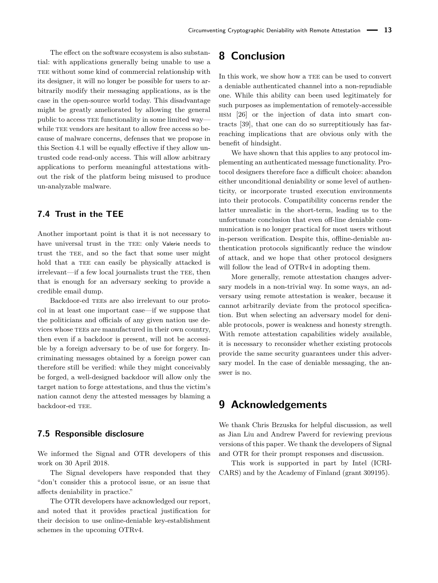The effect on the software ecosystem is also substantial: with applications generally being unable to use a TEE without some kind of commercial relationship with its designer, it will no longer be possible for users to arbitrarily modify their messaging applications, as is the case in the open-source world today. This disadvantage might be greatly ameliorated by allowing the general public to access [tee](#page-0-0) functionality in some limited way while TEE vendors are hesitant to allow free access so because of malware concerns, defenses that we propose in this Section [4.1](#page-6-0) will be equally effective if they allow untrusted code read-only access. This will allow arbitrary applications to perform meaningful attestations without the risk of the platform being misused to produce un-analyzable malware.

### **7.4 Trust in the TEE**

Another important point is that it is not necessary to have universal trust in the TEE: only Valerie needs to trust the TEE, and so the fact that some user might hold that a TEE can easily be physically attacked is irrelevant—if a few local journalists trust the TEE, then that is enough for an adversary seeking to provide a credible email dump.

Backdoor-ed TEEs are also irrelevant to our protocol in at least one important case—if we suppose that the politicians and officials of any given nation use devices whose TEEs are manufactured in their own country, then even if a backdoor is present, will not be accessible by a foreign adversary to be of use for forgery. Incriminating messages obtained by a foreign power can therefore still be verified: while they might conceivably be forged, a well-designed backdoor will allow only the target nation to forge attestations, and thus the victim's nation cannot deny the attested messages by blaming a backdoor-ed TEE.

### **7.5 Responsible disclosure**

We informed the Signal and OTR developers of this work on 30 April 2018.

The Signal developers have responded that they "don't consider this a protocol issue, or an issue that affects deniability in practice."

The OTR developers have acknowledged our report, and noted that it provides practical justification for their decision to use online-deniable key-establishment schemes in the upcoming OTRv4.

# **8 Conclusion**

In this work, we show how a TEE can be used to convert a deniable authenticated channel into a non-repudiable one. While this ability can been used legitimately for such purposes as implementation of remotely-accessible hsm [\[26\]](#page-13-32) or the injection of data into smart contracts [\[39\]](#page-14-4), that one can do so surreptitiously has farreaching implications that are obvious only with the benefit of hindsight.

We have shown that this applies to any protocol implementing an authenticated message functionality. Protocol designers therefore face a difficult choice: abandon either unconditional deniability or some level of authenticity, or incorporate trusted execution environments into their protocols. Compatibility concerns render the latter unrealistic in the short-term, leading us to the unfortunate conclusion that even off-line deniable communication is no longer practical for most users without in-person verification. Despite this, offline-deniable authentication protocols significantly reduce the window of attack, and we hope that other protocol designers will follow the lead of OTRv4 in adopting them.

More generally, remote attestation changes adversary models in a non-trivial way. In some ways, an adversary using remote attestation is weaker, because it cannot arbitrarily deviate from the protocol specification. But when selecting an adversary model for deniable protocols, power is weakness and honesty strength. With remote attestation capabilities widely available, it is necessary to reconsider whether existing protocols provide the same security guarantees under this adversary model. In the case of deniable messaging, the answer is no.

# **9 Acknowledgements**

We thank Chris Brzuska for helpful discussion, as well as Jian Liu and Andrew Paverd for reviewing previous versions of this paper. We thank the developers of Signal and OTR for their prompt responses and discussion.

This work is supported in part by Intel (ICRI-CARS) and by the Academy of Finland (grant 309195).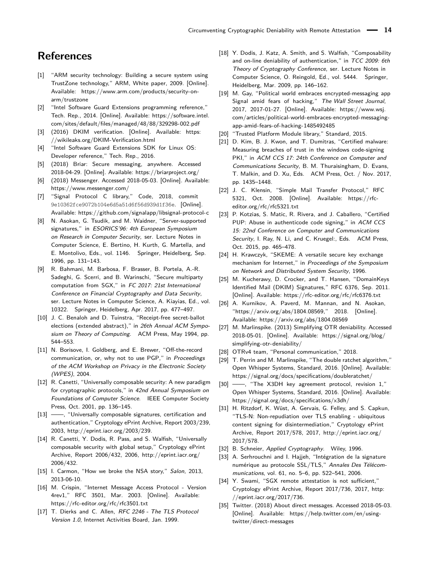# **References**

- <span id="page-13-10"></span>[1] "ARM security technology: Building a secure system using TrustZone technology," ARM, White paper, 2009. [Online]. Available: [https://www.arm.com/products/security-on](https://www.arm.com/products/security-on-arm/trustzone)[arm/trustzone](https://www.arm.com/products/security-on-arm/trustzone)
- <span id="page-13-11"></span>[2] "Intel Software Guard Extensions programming reference," Tech. Rep., 2014. [Online]. Available: [https://software.intel.](https://software.intel.com/sites/default/files/managed/48/88/329298-002.pdf) [com/sites/default/files/managed/48/88/329298-002.pdf](https://software.intel.com/sites/default/files/managed/48/88/329298-002.pdf)
- <span id="page-13-1"></span>[3] (2016) DKIM verification. [Online]. Available: [https:](https://wikileaks.org/DKIM-Verification.html) [//wikileaks.org/DKIM-Verification.html](https://wikileaks.org/DKIM-Verification.html)
- <span id="page-13-17"></span>[4] "Intel Software Guard Extensions SDK for Linux OS: Developer reference," Tech. Rep., 2016.
- <span id="page-13-25"></span>[5] (2018) Briar: Secure messaging, anywhere. Accessed 2018-04-29. [Online]. Available:<https://briarproject.org/>
- <span id="page-13-20"></span>[6] (2018) Messenger. Accessed 2018-05-03. [Online]. Available: <https://www.messenger.com/>
- <span id="page-13-16"></span>[7] "Signal Protocol C library," Code, 2018, commit 9e10362fce9072b104e6d5a51d6f56d939d1f36e. [Online]. Available:<https://github.com/signalapp/libsignal-protocol-c>
- <span id="page-13-31"></span>[8] N. Asokan, G. Tsudik, and M. Waidner, "Server-supported signatures," in ESORICS'96: 4th European Symposium on Research in Computer Security, ser. Lecture Notes in Computer Science, E. Bertino, H. Kurth, G. Martella, and E. Montolivo, Eds., vol. 1146. Springer, Heidelberg, Sep. 1996, pp. 131–143.
- <span id="page-13-34"></span>[9] R. Bahmani, M. Barbosa, F. Brasser, B. Portela, A.-R. Sadeghi, G. Scerri, and B. Warinschi, "Secure multiparty computation from SGX," in FC 2017: 21st International Conference on Financial Cryptography and Data Security, ser. Lecture Notes in Computer Science, A. Kiayias, Ed., vol. 10322. Springer, Heidelberg, Apr. 2017, pp. 477–497.
- <span id="page-13-24"></span>[10] J. C. Benaloh and D. Tuinstra, "Receipt-free secret-ballot elections (extended abstract)," in 26th Annual ACM Symposium on Theory of Computing. ACM Press, May 1994, pp. 544–553.
- <span id="page-13-3"></span>[11] N. Borisove, I. Goldberg, and E. Brewer, "Off-the-record communication, or, why not to use PGP," in Proceedings of the ACM Workshop on Privacy in the Electronic Society (WPES), 2004.
- <span id="page-13-13"></span>[12] R. Canetti, "Universally composable security: A new paradigm for cryptographic protocols," in 42nd Annual Symposium on Foundations of Computer Science. IEEE Computer Society Press, Oct. 2001, pp. 136–145.
- <span id="page-13-14"></span>[13] -, "Universally composable signatures, certification and authentication," Cryptology ePrint Archive, Report 2003/239, 2003, [http://eprint.iacr.org/2003/239.](http://eprint.iacr.org/2003/239)
- <span id="page-13-33"></span>[14] R. Canetti, Y. Dodis, R. Pass, and S. Walfish, "Universally composable security with global setup," Cryptology ePrint Archive, Report 2006/432, 2006, [http://eprint.iacr.org/](http://eprint.iacr.org/2006/432) [2006/432.](http://eprint.iacr.org/2006/432)
- <span id="page-13-5"></span>[15] I. Carmon, "How we broke the NSA story," Salon, 2013, 2013-06-10.
- <span id="page-13-23"></span>[16] M. Crispin, "Internet Message Access Protocol - Version 4rev1," RFC 3501, Mar. 2003. [Online]. Available: <https://rfc-editor.org/rfc/rfc3501.txt>
- <span id="page-13-9"></span>[17] T. Dierks and C. Allen, RFC 2246 - The TLS Protocol Version 1.0, Internet Activities Board, Jan. 1999.
- <span id="page-13-7"></span>[18] Y. Dodis, J. Katz, A. Smith, and S. Walfish, "Composability and on-line deniability of authentication," in TCC 2009: 6th Theory of Cryptography Conference, ser. Lecture Notes in Computer Science, O. Reingold, Ed., vol. 5444. Springer, Heidelberg, Mar. 2009, pp. 146–162.
- <span id="page-13-6"></span>[19] M. Gay, "Political world embraces encrypted-messaging app Signal amid fears of hacking," The Wall Street Journal, 2017, 2017-01-27. [Online]. Available: [https://www.wsj.](https://www.wsj.com/articles/political-world-embraces-encrypted-messaging-app-amid-fears-of-hacking-1485492485) [com/articles/political-world-embraces-encrypted-messaging](https://www.wsj.com/articles/political-world-embraces-encrypted-messaging-app-amid-fears-of-hacking-1485492485)[app-amid-fears-of-hacking-1485492485](https://www.wsj.com/articles/political-world-embraces-encrypted-messaging-app-amid-fears-of-hacking-1485492485)
- <span id="page-13-12"></span>[20] "Trusted Platform Module library," Standard, 2015.
- <span id="page-13-18"></span>[21] D. Kim, B. J. Kwon, and T. Dumitras, "Certified malware: Measuring breaches of trust in the windows code-signing PKI," in ACM CCS 17: 24th Conference on Computer and Communications Security, B. M. Thuraisingham, D. Evans, T. Malkin, and D. Xu, Eds. ACM Press, Oct. / Nov. 2017, pp. 1435–1448.
- <span id="page-13-22"></span>[22] J. C. Klensin, "Simple Mail Transfer Protocol," RFC 5321, Oct. 2008. [Online]. Available: [https://rfc](https://rfc-editor.org/rfc/rfc5321.txt)[editor.org/rfc/rfc5321.txt](https://rfc-editor.org/rfc/rfc5321.txt)
- <span id="page-13-19"></span>[23] P. Kotzias, S. Matic, R. Rivera, and J. Caballero, "Certified PUP: Abuse in authenticode code signing," in ACM CCS 15: 22nd Conference on Computer and Communications Security, I. Ray, N. Li, and C. Kruegel:, Eds. ACM Press, Oct. 2015, pp. 465–478.
- <span id="page-13-2"></span>[24] H. Krawczyk, "SKEME: A versatile secure key exchange mechanism for Internet," in Proceedings of the Symposium on Network and Distributed System Security, 1996.
- <span id="page-13-0"></span>[25] M. Kucherawy, D. Crocker, and T. Hansen, "DomainKeys Identified Mail (DKIM) Signatures," RFC 6376, Sep. 2011. [Online]. Available:<https://rfc-editor.org/rfc/rfc6376.txt>
- <span id="page-13-32"></span>[26] A. Kurnikov, A. Paverd, M. Mannan, and N. Asokan, "https://arxiv.org/abs/1804.08569," 2018. [Online]. Available:<https://arxiv.org/abs/1804.08569>
- <span id="page-13-27"></span>[27] M. Marlinspike. (2013) Simplifying OTR deniability. Accessed 2018-05-01. [Online]. Available: [https://signal.org/blog/](https://signal.org/blog/simplifying-otr-deniability/) [simplifying-otr-deniability/](https://signal.org/blog/simplifying-otr-deniability/)
- <span id="page-13-15"></span>[28] OTRv4 team, "Personal communication," 2018.
- <span id="page-13-8"></span>[29] T. Perrin and M. Marlinspike, "The double ratchet algorithm," Open Whisper Systems, Standard, 2016. [Online]. Available: <https://signal.org/docs/specifications/doubleratchet/>
- <span id="page-13-4"></span>[30] ——, "The X3DH key agreement protocol, revision 1," Open Whisper Systems, Standard, 2016. [Online]. Available: <https://signal.org/docs/specifications/x3dh/>
- <span id="page-13-30"></span>[31] H. Ritzdorf, K. Wüst, A. Gervais, G. Felley, and S. Capkun, "TLS-N: Non-repudiation over TLS enabling - ubiquitous content signing for disintermediation," Cryptology ePrint Archive, Report 2017/578, 2017, [http://eprint.iacr.org/](http://eprint.iacr.org/2017/578) [2017/578.](http://eprint.iacr.org/2017/578)
- <span id="page-13-26"></span>[32] B. Schneier, Applied Cryptography. Wiley, 1996.
- <span id="page-13-29"></span>[33] A. Serhrouchni and I. Hajjeh, "Intégration de la signature numérique au protocole SSL/TLS," Annales Des Télécommunications, vol. 61, no. 5–6, pp. 522–541, 2006.
- <span id="page-13-28"></span>[34] Y. Swami, "SGX remote attestation is not sufficient," Cryptology ePrint Archive, Report 2017/736, 2017, [http:](http://eprint.iacr.org/2017/736) [//eprint.iacr.org/2017/736.](http://eprint.iacr.org/2017/736)
- <span id="page-13-21"></span>[35] Twitter. (2018) About direct messages. Accessed 2018-05-03. [Online]. Available: [https://help.twitter.com/en/using](https://help.twitter.com/en/using-twitter/direct-messages)[twitter/direct-messages](https://help.twitter.com/en/using-twitter/direct-messages)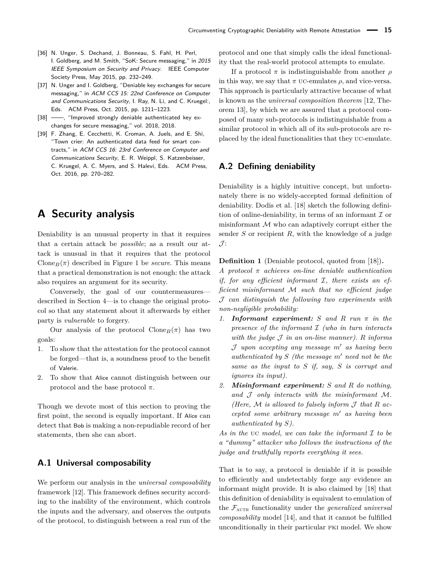- <span id="page-14-1"></span>[36] N. Unger, S. Dechand, J. Bonneau, S. Fahl, H. Perl, I. Goldberg, and M. Smith, "SoK: Secure messaging," in 2015 IEEE Symposium on Security and Privacy. IEEE Computer Society Press, May 2015, pp. 232–249.
- <span id="page-14-2"></span>[37] N. Unger and I. Goldberg, "Deniable key exchanges for secure messaging," in ACM CCS 15: 22nd Conference on Computer and Communications Security, I. Ray, N. Li, and C. Kruegel:, Eds. ACM Press, Oct. 2015, pp. 1211–1223.
- <span id="page-14-3"></span>[38] - flmproved strongly deniable authenticated key exchanges for secure messaging," vol. 2018, 2018.
- <span id="page-14-4"></span>[39] F. Zhang, E. Cecchetti, K. Croman, A. Juels, and E. Shi, "Town crier: An authenticated data feed for smart contracts," in ACM CCS 16: 23rd Conference on Computer and Communications Security, E. R. Weippl, S. Katzenbeisser, C. Kruegel, A. C. Myers, and S. Halevi, Eds. ACM Press, Oct. 2016, pp. 270–282.

# <span id="page-14-0"></span>**A Security analysis**

Deniability is an unusual property in that it requires that a certain attack be *possible*; as a result our attack is unusual in that it requires that the protocol Clone<sub>B</sub> $(\pi)$  described in Figure [1](#page-4-0) be *secure*. This means that a practical demonstration is not enough: the attack also requires an argument for its security.

Conversely, the goal of our countermeasures described in Section [4—](#page-6-2)is to change the original protocol so that any statement about it afterwards by either party is *vulnerable* to forgery.

Our analysis of the protocol  $\text{Clone}_B(\pi)$  has two goals:

- 1. To show that the attestation for the protocol cannot be forged—that is, a soundness proof to the benefit of Valerie.
- 2. To show that Alice cannot distinguish between our protocol and the base protocol *π*.

Though we devote most of this section to proving the first point, the second is equally important. If Alice can detect that Bob is making a non-repudiable record of her statements, then she can abort.

### **A.1 Universal composability**

We perform our analysis in the *universal composability* framework [\[12\]](#page-13-13). This framework defines security according to the inability of the environment, which controls the inputs and the adversary, and observes the outputs of the protocol, to distinguish between a real run of the protocol and one that simply calls the ideal functionality that the real-world protocol attempts to emulate.

If a protocol *π* is indistinguishable from another *ρ* in this way, we say that  $\pi$  uc-emulates  $\rho$ , and vice-versa. This approach is particularly attractive because of what is known as the *universal composition theorem* [\[12,](#page-13-13) Theorem 13], by which we are assured that a protocol composed of many sub-protocols is indistinguishable from a similar protocol in which all of its sub-protocols are replaced by the ideal functionalities that they uc-emulate.

### **A.2 Defining deniability**

Deniability is a highly intuitive concept, but unfortunately there is no widely-accepted formal definition of deniability. Dodis et al. [\[18\]](#page-13-7) sketch the following definition of online-deniability, in terms of an informant  $\mathcal I$  or misinformant  $M$  who can adaptively corrupt either the sender *S* or recipient *R*, with the knowledge of a judge  $\mathcal{J}$ :

**Definition 1** (Deniable protocol, quoted from [\[18\]](#page-13-7))**.**

*A protocol π achieves on-line deniable authentication if, for any efficient informant* I*, there exists an efficient misinformant* M *such that no efficient judge* J *can distinguish the following two experiments with non-negligible probability:*

- *1. Informant experiment: S and R run π in the presence of the informant* I *(who in turn interacts with the judge* J *in an on-line manner). R informs* J *upon accepting any message m*<sup>0</sup> *as having been*  $a$ *uthenticated by*  $S$  *(the message*  $m'$  *need not be the same as the input to S if, say, S is corrupt and ignores its input).*
- *2. Misinformant experiment: S and R do nothing, and* J *only interacts with the misinformant* M*. (Here,*  $M$  *is allowed to falsely inform*  $J$  *that*  $R$  *accepted some arbitrary message*  $m'$  *as having been authenticated by S).*

*As in the* uc *model, we can take the informant* I *to be a "dummy" attacker who follows the instructions of the judge and truthfully reports everything it sees.*

That is to say, a protocol is deniable if it is possible to efficiently and undetectably forge any evidence an informant might provide. It is also claimed by [\[18\]](#page-13-7) that this definition of deniability is equivalent to emulation of the  $\mathcal{F}_{\text{AUTH}}$  functionality under the *generalized universal composability* model [\[14\]](#page-13-33), and that it cannot be fulfilled unconditionally in their particular pki model. We show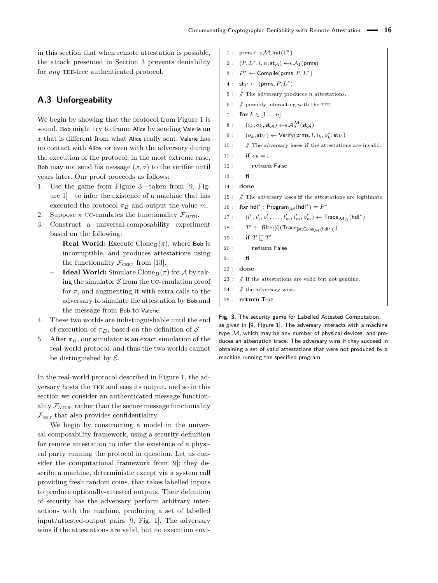in this section that when remote attestation is possible, the attack presented in Section [3](#page-3-1) prevents deniability for *any* TEE-free authenticated protocol.

### **A.3 Unforgeability**

We begin by showing that the protocol from Figure [1](#page-4-0) is sound. Bob might try to frame Alice by sending Valerie an *x* that is different from what Alice really sent. Valerie has no contact with Alice, or even with the adversary during the execution of the protocol; in the most extreme case, Bob may not send his message  $(x, \sigma)$  to the verifier until years later. Our proof proceeds as follows:

- 1. Use the game from Figure [3—](#page-15-0)taken from [\[9,](#page-13-34) Figure 1]—to infer the existence of a machine that has executed the protocol  $\pi_B$  and output the value *m*.
- 2. Suppose  $\pi$  uc-emulates the functionality  $\mathcal{F}_{\text{AUTH}}$ .
- 3. Construct a universal-composability experiment based on the following:
	- **Real World:** Execute Clone<sub>B</sub> $(\pi)$ , where Bob is incorruptible, and produces attestations using the functionality  $\mathcal{F}_{\text{CBRT}}$  from [\[13\]](#page-13-14).
	- **Ideal World:** Simulate Clone<sub>*B*</sub>( $\pi$ ) for A by taking the simulator  $S$  from the UC-emulation proof for  $\pi$ , and augmenting it with extra calls to the adversary to simulate the attestation by Bob and the message from Bob to Valerie.
- 4. These two worlds are indistinguishable until the end of execution of  $\pi_B$ , based on the definition of S.
- 5. After  $\pi_B$ , our simulator is an exact simulation of the real-world protocol, and thus the two worlds cannot be distinguished by  $\mathcal{E}$ .

In the real-world protocol described in Figure [1,](#page-4-0) the adversary hosts the TEE and sees its output, and so in this section we consider an authenticated message functionality  $\mathcal{F}_{\text{AUTH}}$ , rather than the secure message functionality  $\mathcal{F}_{\text{SMT}}$  that also provides confidentiality.

We begin by constructing a model in the universal composability framework, using a security definition for remote attestation to infer the existence of a physical party running the protocol in question. Let us consider the computational framework from [\[9\]](#page-13-34); they describe a machine, deterministic except via a system call providing fresh random coins, that takes labelled inputs to produce optionally-attested outputs. Their definition of security has the adversary perform arbitrary interactions with the machine, producing a set of labelled input/attested-output pairs [\[9,](#page-13-34) Fig. 1]. The adversary wins if the attestations are valid, but no execution envi<span id="page-15-0"></span>1 : prms  $\leftarrow$ \$ M.lnit(1<sup>n</sup>)

- $2: (P, L^*, l, n, \mathsf{st}_{\mathcal{A}}) \leftarrow \mathsf{s}\mathcal{A}_1(\mathsf{prms})$
- 3 : *P* <sup>∗</sup> ← Compile(prms*, P, L*<sup>∗</sup> )
- $4: \text{st}_V \leftarrow (\text{prms}, P, L^*)$
- 5 : // The adversary produces *n* attestations,
- 6 :  $\#$  possibly interacting with the TEE.
- 7 : **for**  $k \in [1...n]$
- 8 :  $(i_k, o_k, \mathsf{st}_{\mathcal{A}}) \leftarrow \mathsf{s} \mathcal{A}_2^{\mathcal{M}}(\mathsf{st}_{\mathcal{A}})$
- $9: (o_k, \mathsf{st}_V) \leftarrow \mathsf{Verify}(\mathsf{prms}, l, i_k, o_k^*, \mathsf{st}_V)$
- 10 : // The adversary loses **if** the attestations are invalid.
- 11 : **if**  $o_k = \perp$
- 12 : **return** False
- 13 : **fi**
- 14 : **done**
- 15 : // The adversary loses **if** the attestations are legitimate.
- 16 : **for**  $\text{hdl}^*$  : Program<sub> $\mathcal{M}(\text{hdl}^*) = P^*$ </sub>
- 17 : (*l*  $\mathbf{I}'_1, \mathbf{i}'_1, o'_1, \ldots, \mathbf{l}'_m, \mathbf{i}'_m, o'_m) \leftarrow \mathsf{Trace}_{\mathcal{M}_R}(\mathsf{hdl}^*)$
- 18 : *T*  $T' \leftarrow \textbf{filter}[l](\textsf{Trace}_{\textsf{[st;Coins}_{\mathcal{M}}(\textsf{hdl}^*)]})$
- 19 : **if**  $T \sqsubseteq T'$
- 20 : **return** False
- 21 : **fi**
- 22 : **done**
- $23:$  // If the attestations are valid but not genuine,
- 24 :  $\#$  the adversary wins.
- 25 : **return** True

**Fig. 3.** The security game for Labelled Attested Computation, as given in [\[9,](#page-13-34) Figure 1]. The adversary interacts with a machine type  $M$ , which may be any number of physical devices, and produces an attestation trace. The adversary wins if they succeed in obtaining a set of valid attestations that were not produced by a machine running the specified program.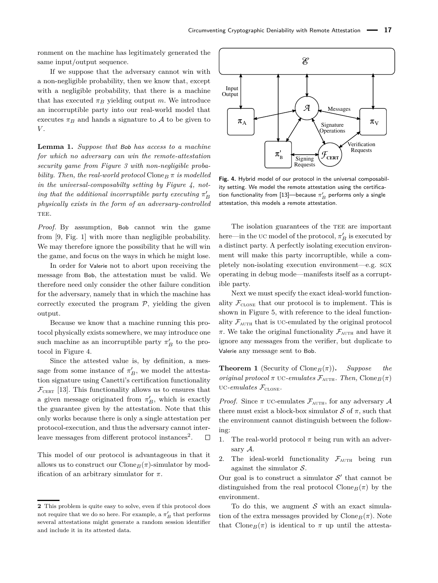ronment on the machine has legitimately generated the same input/output sequence.

If we suppose that the adversary cannot win with a non-negligible probability, then we know that, except with a negligible probability, that there is a machine that has executed  $\pi_B$  yielding output *m*. We introduce an incorruptible party into our real-world model that executes  $\pi_B$  and hands a signature to  $A$  to be given to *V* .

**Lemma 1.** *Suppose that* Bob *has access to a machine for which no adversary can win the remote-attestation security game from Figure [3](#page-15-0) with non-negligible probability. Then, the real-world protocol* Clone<sub>*B*</sub>  $\pi$  *is modelled in the universal-composabilty setting by Figure [4,](#page-16-1) noting that the additional incorruptible party executing*  $\pi'_B$ *physically exists in the form of an adversary-controlled* TEE.

*Proof.* By assumption, Bob cannot win the game from [\[9,](#page-13-34) Fig. 1] with more than negligible probability. We may therefore ignore the possibility that he will win the game, and focus on the ways in which he might lose.

In order for Valerie not to abort upon receiving the message from Bob, the attestation must be valid. We therefore need only consider the other failure condition for the adversary, namely that in which the machine has correctly executed the program  $P$ , yielding the given output.

Because we know that a machine running this protocol physically exists somewhere, we may introduce one such machine as an incorruptible party  $\pi'_B$  to the protocol in Figure [4.](#page-16-1)

Since the attested value is, by definition, a message from some instance of  $\pi'_B$ , we model the attestation signature using Canetti's certification functionality  $\mathcal{F}_{\text{CERT}}$  [\[13\]](#page-13-14). This functionality allows us to ensures that a given message originated from  $\pi_B'$ , which is exactly the guarantee given by the attestation. Note that this only works because there is only a single attestation per protocol-execution, and thus the adversary cannot inter-leave messages from different protocol instances<sup>[2](#page-0-0)</sup>.  $\Box$ 

This model of our protocol is advantageous in that it allows us to construct our  $\text{Cone}_B(\pi)$ -simulator by modification of an arbitrary simulator for *π*.

<span id="page-16-1"></span>

**Fig. 4.** Hybrid model of our protocol in the universal composability setting. We model the remote attestation using the certifica-tion functionality from [\[13\]](#page-13-14)—because  $\pi_B'$  performs only a single attestation, this models a remote attestation.

The isolation guaran[tee](#page-0-0)s of the TEE are important here—in the uc model of the protocol,  $\pi_B'$  is executed by a distinct party. A perfectly isolating execution environment will make this party incorruptible, while a completely non-isolating execution environment—e.g. sgx operating in debug mode—manifests itself as a corruptible party.

Next we must specify the exact ideal-world functionality  $\mathcal{F}_{\text{CLONE}}$  that our protocol is to implement. This is shown in Figure [5,](#page-17-0) with reference to the ideal functionality  $\mathcal{F}_{\text{AUTH}}$  that is UC-emulated by the original protocol  $\pi$ . We take the original functionality  $\mathcal{F}_{\text{AUTH}}$  and have it ignore any messages from the verifier, but duplicate to Valerie any message sent to Bob.

<span id="page-16-0"></span>**Theorem 1** (Security of Clone<sub>*B*</sub> $(\pi)$ ). *Suppose the original protocol*  $\pi$  uc-*emulates*  $\mathcal{F}_{\text{AUTH}}$ *. Then,* Clone<sub>*B*</sub>( $\pi$ ) UC-emulates  $\mathcal{F}_{\text{CLONE}}$ .

*Proof.* Since  $\pi$  uc-emulates  $\mathcal{F}_{\text{AUTH}}$ , for any adversary  $\mathcal{A}$ there must exist a block-box simulator  $S$  of  $\pi$ , such that the environment cannot distinguish between the following:

- 1. The real-world protocol  $\pi$  being run with an adversary A.
- 2. The ideal-world functionality  $\mathcal{F}_{\text{AUTH}}$  being run against the simulator  $S$ .

Our goal is to construct a simulator  $\mathcal{S}'$  that cannot be distinguished from the real protocol  $\text{Clope}_B(\pi)$  by the environment.

To do this, we augment  $\mathcal S$  with an exact simulation of the extra messages provided by  $\text{Clone}_B(\pi)$ . Note that Clone<sub>B</sub>( $\pi$ ) is identical to  $\pi$  up until the attesta-

**<sup>2</sup>** This problem is quite easy to solve, even if this protocol does not require that we do so here. For example, a  $\pi_B'$  that performs several attestations might generate a random session identifier and include it in its attested data.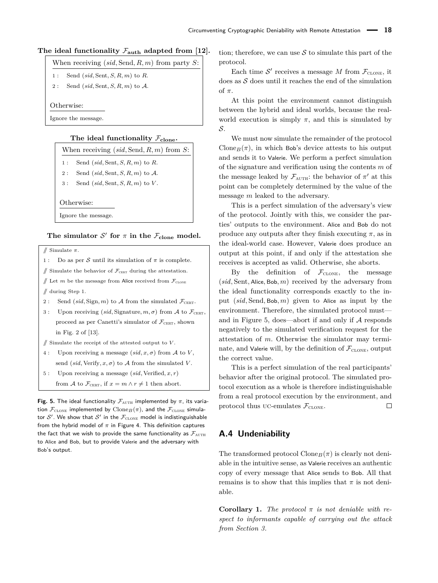### <span id="page-17-0"></span>The ideal functionality  $\mathcal{F}_{\text{auth}}$  adapted from [\[12\]](#page-13-13).

| 1: Send $(sid, Sent, S, R, m)$ to R. |
|--------------------------------------|
| 2: Send $(sid, Sent, S, R, m)$ to A. |

Otherwise:

Ignore the message.

### **The ideal functionality** F**clone.**

#### When receiving (*sid,* Send*, R, m*) from *S*:

|  | 1: Send $(sid, Sent, S, R, m)$ to R. |  |  |
|--|--------------------------------------|--|--|

- 2 : Send (*sid,* Sent*, S, R, m*) to A.
- 3 : Send (*sid,* Sent*, S, R, m*) to *V* .

Otherwise:

Ignore the message.

### The simulator  $\mathcal{S}'$  for  $\pi$  in the  $\mathcal{F}_{\text{clone}}$  model.

// Simulate *π*.

1 : Do as per S until its simulation of  $\pi$  is complete.

 $\#$  Simulate the behavior of  $\mathcal{F}_{\text{CBRT}}$  during the attestation.

 $\#$  Let *m* be the message from Alice received from  $\mathcal{F}_{\text{CLONE}}$ 

 $\sqrt{ }$  during Step 1.

- 2 : Send  $(sid, \text{Sign}, m)$  to A from the simulated  $\mathcal{F}_{\text{CBRT}}$ .
- 3 : Upon receiving  $(sid,$  Signature,  $m, \sigma$ ) from A to  $\mathcal{F}_{\text{CBRT}}$ , proceed as per Canetti's simulator of  $\mathcal{F}_{\text{CBRT}}$ , shown in Fig. 2 of [\[13\]](#page-13-14).

// Simulate the receipt of the attested output to *V* .

- 4 : Upon receiving a message  $(sid, x, \sigma)$  from A to *V*, send (*sid*, Verify,  $x, \sigma$ ) to A from the simulated *V*.
- 5 : Upon receiving a message (*sid,* Verified*, x, r*) from  $\mathcal A$  to  $\mathcal F_{\text{CBRT}}$ , if  $x = m \wedge r \neq 1$  then abort.

**Fig. 5.** The ideal functionality  $\mathcal{F}_{\text{AUTH}}$  implemented by  $\pi$ , its variation  $\mathcal{F}_{\text{CLONE}}$  implemented by  $\text{Clore}_{B}(\pi)$ , and the  $\mathcal{F}_{\text{CLONE}}$  simulator  $\mathcal{S}'$  . We show that  $\mathcal{S}'$  in the  $\mathcal{F}_{\text{\tiny{CLONE}}}$  model is indistinguishable from the hybrid model of  $\pi$  in Figure [4.](#page-16-1) This definition captures the fact that we wish to provide the same functionality as  $\mathcal{F}_{\text{AUTH}}$ to Alice and Bob, but to provide Valerie and the adversary with Bob's output.

tion; therefore, we can use  $S$  to simulate this part of the protocol.

Each time  $\mathcal{S}'$  receives a message M from  $\mathcal{F}_{\text{CLONE}}$ , it does as  $S$  does until it reaches the end of the simulation of *π*.

At this point the environment cannot distinguish between the hybrid and ideal worlds, because the realworld execution is simply  $\pi$ , and this is simulated by S.

We must now simulate the remainder of the protocol Clone<sub>B</sub> $(\pi)$ , in which Bob's device attests to his output and sends it to Valerie. We perform a perfect simulation of the signature and verification using the contents *m* of the message leaked by  $\mathcal{F}_{\text{AUTH}}$ : the behavior of  $\pi'$  at this point can be completely determined by the value of the message *m* leaked to the adversary.

This is a perfect simulation of the adversary's view of the protocol. Jointly with this, we consider the parties' outputs to the environment. Alice and Bob do not produce any outputs after they finish executing  $\pi$ , as in the ideal-world case. However, Valerie does produce an output at this point, if and only if the attestation she receives is accepted as valid. Otherwise, she aborts.

By the definition of  $\mathcal{F}_{\text{cLONE}}$ , the message (*sid,* Sent*,* Alice*,* Bob*, m*) received by the adversary from the ideal functionality corresponds exactly to the input (*sid,* Send*,* Bob*, m*) given to Alice as input by the environment. Therefore, the simulated protocol must— and in Figure [5,](#page-17-0) does—abort if and only if  $A$  responds negatively to the simulated verification request for the attestation of *m*. Otherwise the simulator may terminate, and Valerie will, by the definition of  $\mathcal{F}_{\text{CLONE}}$ , output the correct value.

This is a perfect simulation of the real participants' behavior after the original protocol. The simulated protocol execution as a whole is therefore indistinguishable from a real protocol execution by the environment, and protocol thus uc-emulates  $\mathcal{F}_{\text{CLONE}}$ .  $\Box$ 

### **A.4 Undeniability**

The transformed protocol  $\text{Cone}_B(\pi)$  is clearly not deniable in the intuitive sense, as Valerie receives an authentic copy of every message that Alice sends to Bob. All that remains is to show that this implies that  $\pi$  is not deniable.

**Corollary 1.** *The protocol*  $\pi$  *is not deniable with respect to informants capable of carrying out the attack from Section [3.](#page-3-1)*